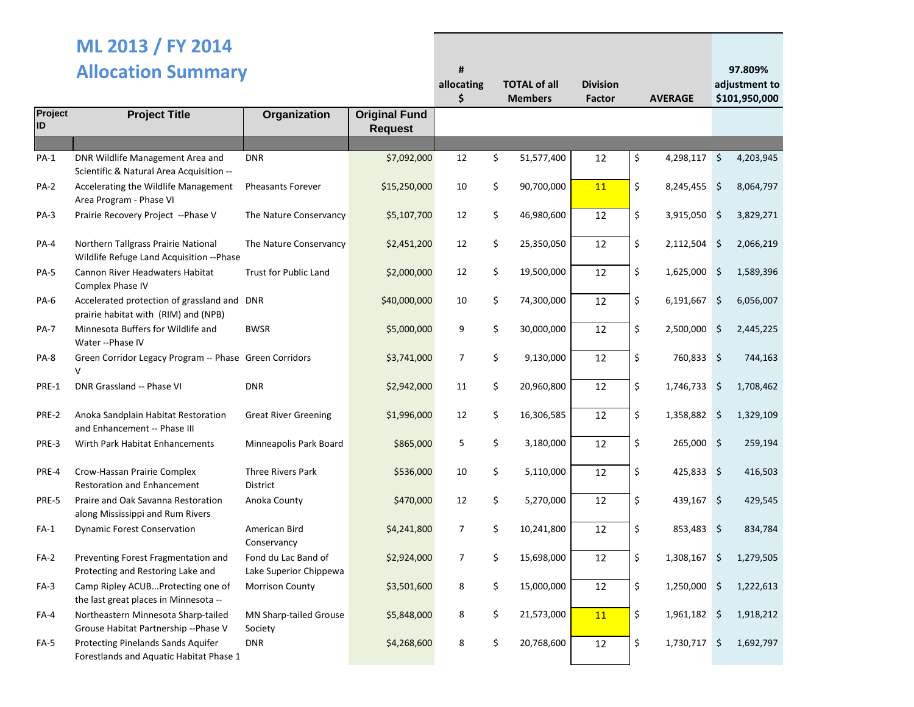## **ML 2013 / FY 2014**

|               | <b>Allocation Summary</b>                                                           |                                               |                                        |                | <b>TOTAL of all</b><br><b>Members</b> | <b>Division</b><br><b>Factor</b> | <b>AVERAGE</b> |                | 97.809%<br>adjustment to<br>\$101,950,000 |           |
|---------------|-------------------------------------------------------------------------------------|-----------------------------------------------|----------------------------------------|----------------|---------------------------------------|----------------------------------|----------------|----------------|-------------------------------------------|-----------|
| Project<br>ID | <b>Project Title</b>                                                                | Organization                                  | <b>Original Fund</b><br><b>Request</b> |                |                                       |                                  |                |                |                                           |           |
|               |                                                                                     |                                               |                                        |                |                                       |                                  |                |                |                                           |           |
| $PA-1$        | DNR Wildlife Management Area and<br>Scientific & Natural Area Acquisition --        | <b>DNR</b>                                    | \$7,092,000                            | 12             | \$<br>51,577,400                      | 12                               | \$             | $4,298,117$ \$ |                                           | 4,203,945 |
| <b>PA-2</b>   | Accelerating the Wildlife Management<br>Area Program - Phase VI                     | <b>Pheasants Forever</b>                      | \$15,250,000                           | 10             | \$<br>90,700,000                      | 11                               | \$             | 8,245,455 \$   |                                           | 8,064,797 |
| $PA-3$        | Prairie Recovery Project -- Phase V                                                 | The Nature Conservancy                        | \$5,107,700                            | 12             | \$<br>46,980,600                      | 12                               | \$             | 3,915,050 \$   |                                           | 3,829,271 |
| PA-4          | Northern Tallgrass Prairie National<br>Wildlife Refuge Land Acquisition --Phase     | The Nature Conservancy                        | \$2,451,200                            | 12             | \$<br>25,350,050                      | 12                               | \$             | 2,112,504 \$   |                                           | 2,066,219 |
| <b>PA-5</b>   | Cannon River Headwaters Habitat<br>Complex Phase IV                                 | <b>Trust for Public Land</b>                  | \$2,000,000                            | 12             | \$<br>19,500,000                      | 12                               | \$             | $1,625,000$ \$ |                                           | 1,589,396 |
| <b>PA-6</b>   | Accelerated protection of grassland and DNR<br>prairie habitat with (RIM) and (NPB) |                                               | \$40,000,000                           | 10             | \$<br>74,300,000                      | 12                               | \$             | $6,191,667$ \$ |                                           | 6,056,007 |
| <b>PA-7</b>   | Minnesota Buffers for Wildlife and<br>Water -- Phase IV                             | <b>BWSR</b>                                   | \$5,000,000                            | 9              | \$<br>30,000,000                      | 12                               | \$             | 2,500,000 \$   |                                           | 2,445,225 |
| PA-8          | Green Corridor Legacy Program -- Phase Green Corridors<br>$\vee$                    |                                               | \$3,741,000                            | 7              | \$<br>9,130,000                       | 12                               | \$             | 760,833 \$     |                                           | 744,163   |
| PRE-1         | DNR Grassland -- Phase VI                                                           | <b>DNR</b>                                    | \$2,942,000                            | 11             | \$<br>20,960,800                      | 12                               | \$             | 1,746,733      | \$                                        | 1,708,462 |
| PRE-2         | Anoka Sandplain Habitat Restoration<br>and Enhancement -- Phase III                 | <b>Great River Greening</b>                   | \$1,996,000                            | 12             | \$<br>16,306,585                      | 12                               | \$             | 1,358,882 \$   |                                           | 1,329,109 |
| PRE-3         | Wirth Park Habitat Enhancements                                                     | Minneapolis Park Board                        | \$865,000                              | 5              | \$<br>3,180,000                       | 12                               | \$             | $265,000$ \$   |                                           | 259,194   |
| PRE-4         | Crow-Hassan Prairie Complex<br><b>Restoration and Enhancement</b>                   | <b>Three Rivers Park</b><br><b>District</b>   | \$536,000                              | 10             | \$<br>5,110,000                       | 12                               | \$             | 425,833 \$     |                                           | 416,503   |
| PRE-5         | Praire and Oak Savanna Restoration<br>along Mississippi and Rum Rivers              | Anoka County                                  | \$470,000                              | 12             | \$<br>5,270,000                       | 12                               | \$             | $439,167$ \$   |                                           | 429,545   |
| $FA-1$        | <b>Dynamic Forest Conservation</b>                                                  | American Bird<br>Conservancy                  | \$4,241,800                            | 7              | \$<br>10,241,800                      | 12                               | \$             | $853,483$ \$   |                                           | 834,784   |
| $FA-2$        | Preventing Forest Fragmentation and<br>Protecting and Restoring Lake and            | Fond du Lac Band of<br>Lake Superior Chippewa | \$2,924,000                            | $\overline{7}$ | \$<br>15,698,000                      | 12                               | \$             | 1,308,167      | \$                                        | 1,279,505 |
| $FA-3$        | Camp Ripley ACUBProtecting one of<br>the last great places in Minnesota --          | <b>Morrison County</b>                        | \$3,501,600                            | 8              | \$<br>15,000,000                      | 12                               | \$             | 1,250,000 \$   |                                           | 1,222,613 |
| FA-4          | Northeastern Minnesota Sharp-tailed<br>Grouse Habitat Partnership --Phase V         | <b>MN Sharp-tailed Grouse</b><br>Society      | \$5,848,000                            | 8              | \$<br>21,573,000                      | 11                               | \$             | 1,961,182 \$   |                                           | 1,918,212 |
| FA-5          | Protecting Pinelands Sands Aquifer<br>Forestlands and Aquatic Habitat Phase 1       | <b>DNR</b>                                    | \$4,268,600                            | 8              | \$<br>20,768,600                      | 12                               | \$             | 1,730,717      | \$.                                       | 1,692,797 |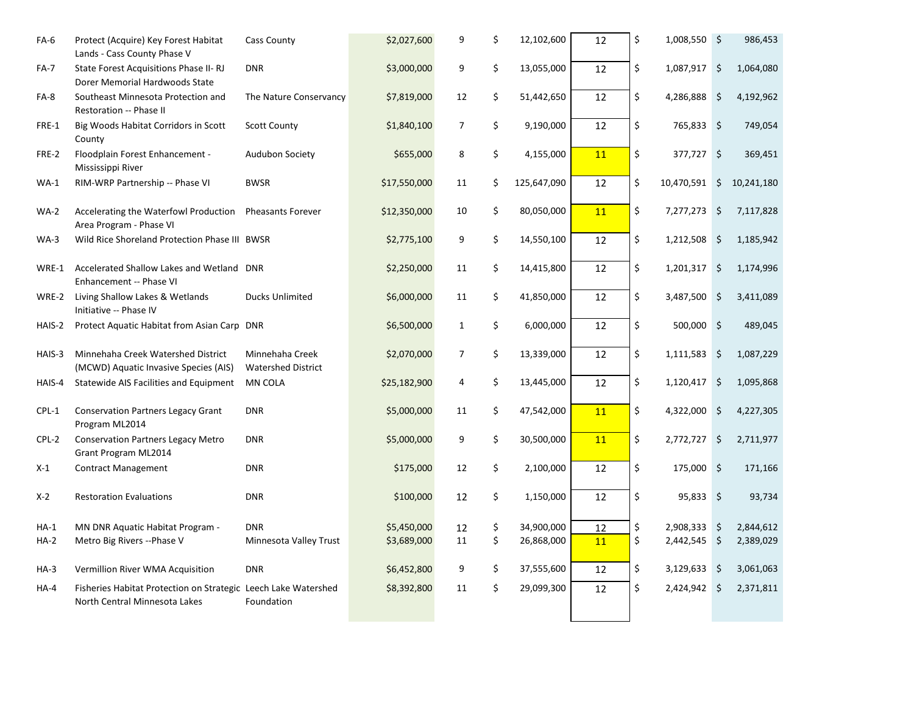| FA-6    | Protect (Acquire) Key Forest Habitat<br>Lands - Cass County Phase V                             | Cass County                                  | \$2,027,600  | 9              | \$<br>12,102,600  | 12 | \$<br>1,008,550 \$   |         | 986,453    |
|---------|-------------------------------------------------------------------------------------------------|----------------------------------------------|--------------|----------------|-------------------|----|----------------------|---------|------------|
| $FA-7$  | State Forest Acquisitions Phase II-RJ<br>Dorer Memorial Hardwoods State                         | <b>DNR</b>                                   | \$3,000,000  | 9              | \$<br>13,055,000  | 12 | \$<br>1,087,917      | \$      | 1,064,080  |
| FA-8    | Southeast Minnesota Protection and<br>Restoration -- Phase II                                   | The Nature Conservancy                       | \$7,819,000  | 12             | \$<br>51,442,650  | 12 | \$<br>4,286,888 \$   |         | 4,192,962  |
| FRE-1   | Big Woods Habitat Corridors in Scott<br>County                                                  | <b>Scott County</b>                          | \$1,840,100  | $\overline{7}$ | \$<br>9,190,000   | 12 | \$<br>765,833 \$     |         | 749,054    |
| FRE-2   | Floodplain Forest Enhancement -<br>Mississippi River                                            | <b>Audubon Society</b>                       | \$655,000    | 8              | \$<br>4,155,000   | 11 | \$<br>377,727 \$     |         | 369,451    |
| $WA-1$  | RIM-WRP Partnership -- Phase VI                                                                 | <b>BWSR</b>                                  | \$17,550,000 | 11             | \$<br>125,647,090 | 12 | \$<br>10,470,591     | \$      | 10,241,180 |
| WA-2    | Accelerating the Waterfowl Production<br>Area Program - Phase VI                                | <b>Pheasants Forever</b>                     | \$12,350,000 | 10             | \$<br>80,050,000  | 11 | \$<br>7,277,273 \$   |         | 7,117,828  |
| $WA-3$  | Wild Rice Shoreland Protection Phase III BWSR                                                   |                                              | \$2,775,100  | 9              | \$<br>14,550,100  | 12 | \$<br>1,212,508 \$   |         | 1,185,942  |
| WRE-1   | Accelerated Shallow Lakes and Wetland DNR<br>Enhancement -- Phase VI                            |                                              | \$2,250,000  | 11             | \$<br>14,415,800  | 12 | \$<br>1,201,317      | \$      | 1,174,996  |
| WRE-2   | Living Shallow Lakes & Wetlands<br>Initiative -- Phase IV                                       | Ducks Unlimited                              | \$6,000,000  | 11             | \$<br>41,850,000  | 12 | \$<br>3,487,500      | $\zeta$ | 3,411,089  |
| HAIS-2  | Protect Aquatic Habitat from Asian Carp DNR                                                     |                                              | \$6,500,000  | $\mathbf{1}$   | \$<br>6,000,000   | 12 | \$<br>500,000 \$     |         | 489,045    |
| HAIS-3  | Minnehaha Creek Watershed District<br>(MCWD) Aquatic Invasive Species (AIS)                     | Minnehaha Creek<br><b>Watershed District</b> | \$2,070,000  | $\overline{7}$ | \$<br>13,339,000  | 12 | \$<br>$1,111,583$ \$ |         | 1,087,229  |
| HAIS-4  | Statewide AIS Facilities and Equipment                                                          | MN COLA                                      | \$25,182,900 | 4              | \$<br>13,445,000  | 12 | \$<br>1,120,417      | \$      | 1,095,868  |
| $CPL-1$ | <b>Conservation Partners Legacy Grant</b><br>Program ML2014                                     | <b>DNR</b>                                   | \$5,000,000  | 11             | \$<br>47,542,000  | 11 | \$<br>4,322,000 \$   |         | 4,227,305  |
| CPL-2   | <b>Conservation Partners Legacy Metro</b><br>Grant Program ML2014                               | <b>DNR</b>                                   | \$5,000,000  | 9              | \$<br>30,500,000  | 11 | \$<br>2,772,727 \$   |         | 2,711,977  |
| $X-1$   | <b>Contract Management</b>                                                                      | <b>DNR</b>                                   | \$175,000    | 12             | \$<br>2,100,000   | 12 | \$<br>175,000 \$     |         | 171,166    |
| $X-2$   | <b>Restoration Evaluations</b>                                                                  | <b>DNR</b>                                   | \$100,000    | 12             | \$<br>1,150,000   | 12 | \$<br>$95,833$ \$    |         | 93,734     |
| HA-1    | MN DNR Aquatic Habitat Program -                                                                | <b>DNR</b>                                   | \$5,450,000  | 12             | \$<br>34,900,000  | 12 | \$<br>2,908,333 \$   |         | 2,844,612  |
| $HA-2$  | Metro Big Rivers -- Phase V                                                                     | Minnesota Valley Trust                       | \$3,689,000  | 11             | \$<br>26,868,000  | 11 | \$<br>2,442,545 \$   |         | 2,389,029  |
| $HA-3$  | Vermillion River WMA Acquisition                                                                | <b>DNR</b>                                   | \$6,452,800  | 9              | \$<br>37,555,600  | 12 | \$<br>3,129,633 \$   |         | 3,061,063  |
| $HA-4$  | Fisheries Habitat Protection on Strategic Leech Lake Watershed<br>North Central Minnesota Lakes | Foundation                                   | \$8,392,800  | 11             | \$<br>29,099,300  | 12 | \$<br>2,424,942 \$   |         | 2,371,811  |